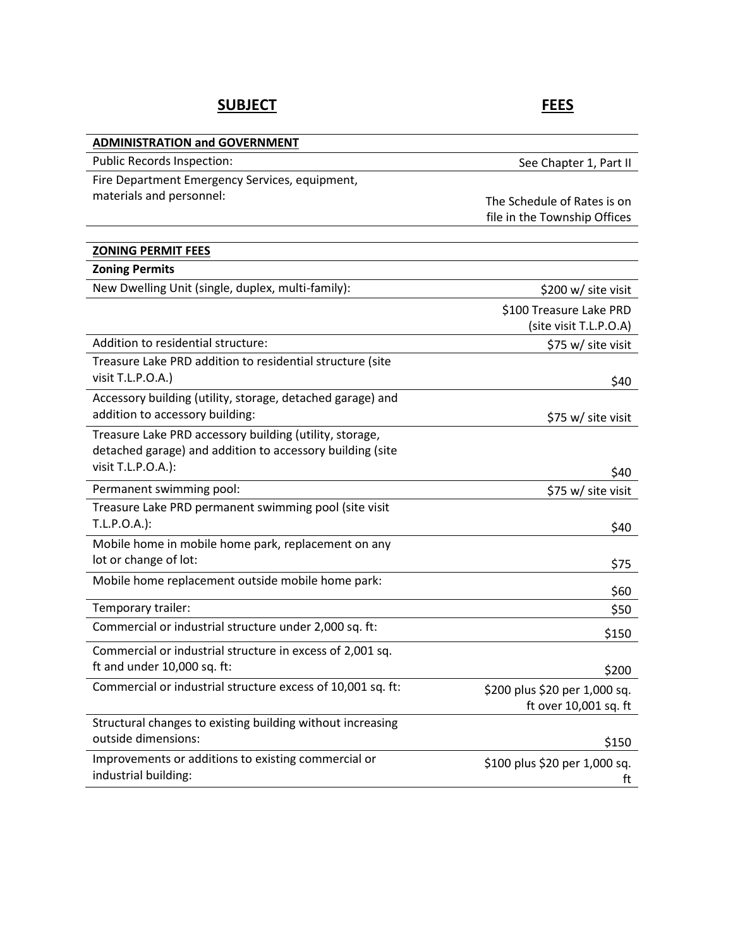# SUBJECT **FEES**

| <b>ADMINISTRATION and GOVERNMENT</b>                                                                                 |                               |
|----------------------------------------------------------------------------------------------------------------------|-------------------------------|
| Public Records Inspection:                                                                                           | See Chapter 1, Part II        |
| Fire Department Emergency Services, equipment,                                                                       |                               |
| materials and personnel:                                                                                             | The Schedule of Rates is on   |
|                                                                                                                      | file in the Township Offices  |
|                                                                                                                      |                               |
| <b>ZONING PERMIT FEES</b>                                                                                            |                               |
| <b>Zoning Permits</b>                                                                                                |                               |
| New Dwelling Unit (single, duplex, multi-family):                                                                    | \$200 w/ site visit           |
|                                                                                                                      | \$100 Treasure Lake PRD       |
|                                                                                                                      | (site visit T.L.P.O.A)        |
| Addition to residential structure:                                                                                   | \$75 w/ site visit            |
| Treasure Lake PRD addition to residential structure (site                                                            |                               |
| visit T.L.P.O.A.)                                                                                                    | \$40                          |
| Accessory building (utility, storage, detached garage) and                                                           |                               |
| addition to accessory building:                                                                                      | \$75 w/ site visit            |
| Treasure Lake PRD accessory building (utility, storage,<br>detached garage) and addition to accessory building (site |                               |
| visit T.L.P.O.A.):                                                                                                   |                               |
|                                                                                                                      | \$40                          |
| Permanent swimming pool:                                                                                             | \$75 w/ site visit            |
| Treasure Lake PRD permanent swimming pool (site visit<br>T.L.P.O.A.):                                                |                               |
|                                                                                                                      | \$40                          |
| Mobile home in mobile home park, replacement on any<br>lot or change of lot:                                         |                               |
| Mobile home replacement outside mobile home park:                                                                    | \$75                          |
|                                                                                                                      | \$60                          |
| Temporary trailer:                                                                                                   | \$50                          |
| Commercial or industrial structure under 2,000 sq. ft:                                                               | \$150                         |
| Commercial or industrial structure in excess of 2,001 sq.                                                            |                               |
| ft and under 10,000 sq. ft:                                                                                          | \$200                         |
| Commercial or industrial structure excess of 10,001 sq. ft:                                                          | \$200 plus \$20 per 1,000 sq. |
|                                                                                                                      | ft over 10,001 sq. ft         |
| Structural changes to existing building without increasing                                                           |                               |
| outside dimensions:                                                                                                  | \$150                         |
| Improvements or additions to existing commercial or                                                                  | \$100 plus \$20 per 1,000 sq. |
| industrial building:                                                                                                 | ft                            |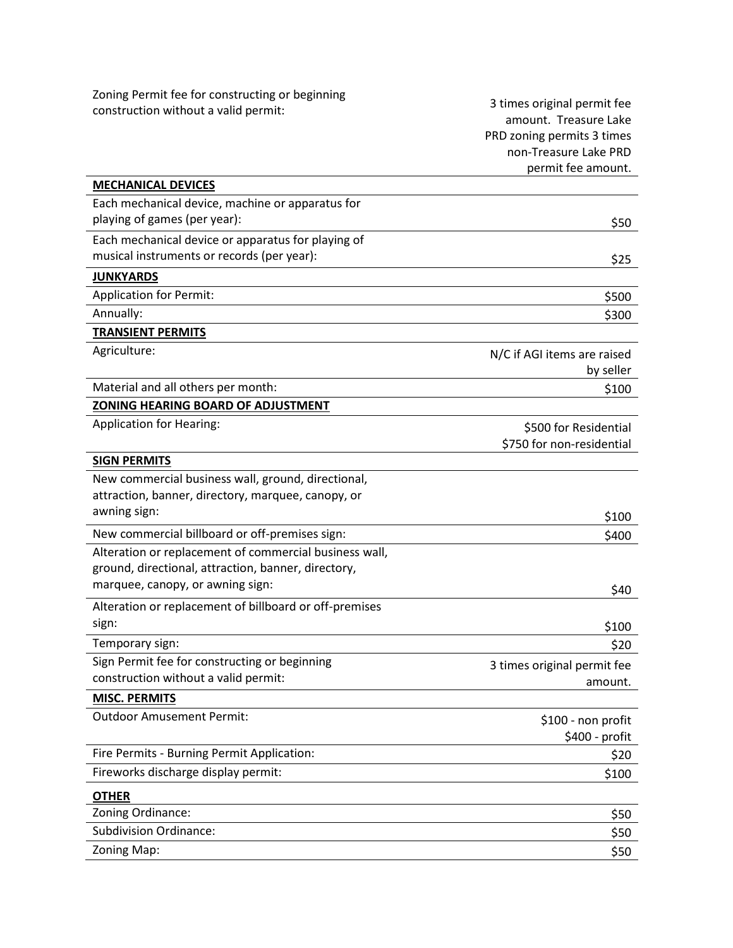| Zoning Permit fee for constructing or beginning<br>construction without a valid permit:                                                           | 3 times original permit fee<br>amount. Treasure Lake<br>PRD zoning permits 3 times<br>non-Treasure Lake PRD<br>permit fee amount. |
|---------------------------------------------------------------------------------------------------------------------------------------------------|-----------------------------------------------------------------------------------------------------------------------------------|
| <b>MECHANICAL DEVICES</b>                                                                                                                         |                                                                                                                                   |
| Each mechanical device, machine or apparatus for<br>playing of games (per year):                                                                  | \$50                                                                                                                              |
| Each mechanical device or apparatus for playing of                                                                                                |                                                                                                                                   |
| musical instruments or records (per year):                                                                                                        | \$25                                                                                                                              |
| <b>JUNKYARDS</b>                                                                                                                                  |                                                                                                                                   |
| <b>Application for Permit:</b>                                                                                                                    | \$500                                                                                                                             |
| Annually:                                                                                                                                         | \$300                                                                                                                             |
| <b>TRANSIENT PERMITS</b>                                                                                                                          |                                                                                                                                   |
| Agriculture:                                                                                                                                      | N/C if AGI items are raised<br>by seller                                                                                          |
| Material and all others per month:                                                                                                                | \$100                                                                                                                             |
| ZONING HEARING BOARD OF ADJUSTMENT                                                                                                                |                                                                                                                                   |
| <b>Application for Hearing:</b>                                                                                                                   | \$500 for Residential<br>\$750 for non-residential                                                                                |
| <b>SIGN PERMITS</b>                                                                                                                               |                                                                                                                                   |
| New commercial business wall, ground, directional,<br>attraction, banner, directory, marquee, canopy, or                                          |                                                                                                                                   |
| awning sign:                                                                                                                                      | \$100                                                                                                                             |
| New commercial billboard or off-premises sign:                                                                                                    | \$400                                                                                                                             |
| Alteration or replacement of commercial business wall,<br>ground, directional, attraction, banner, directory,<br>marquee, canopy, or awning sign: | \$40                                                                                                                              |
| Alteration or replacement of billboard or off-premises<br>sign:                                                                                   | \$100                                                                                                                             |
| Temporary sign:                                                                                                                                   | \$20                                                                                                                              |
| Sign Permit fee for constructing or beginning                                                                                                     |                                                                                                                                   |
| construction without a valid permit:                                                                                                              | 3 times original permit fee<br>amount.                                                                                            |
| <b>MISC. PERMITS</b>                                                                                                                              |                                                                                                                                   |
| <b>Outdoor Amusement Permit:</b>                                                                                                                  | \$100 - non profit<br>\$400 - profit                                                                                              |
| Fire Permits - Burning Permit Application:                                                                                                        | \$20                                                                                                                              |
| Fireworks discharge display permit:                                                                                                               | \$100                                                                                                                             |
| <b>OTHER</b>                                                                                                                                      |                                                                                                                                   |
| Zoning Ordinance:                                                                                                                                 | \$50                                                                                                                              |
| <b>Subdivision Ordinance:</b>                                                                                                                     | \$50                                                                                                                              |
| Zoning Map:                                                                                                                                       | \$50                                                                                                                              |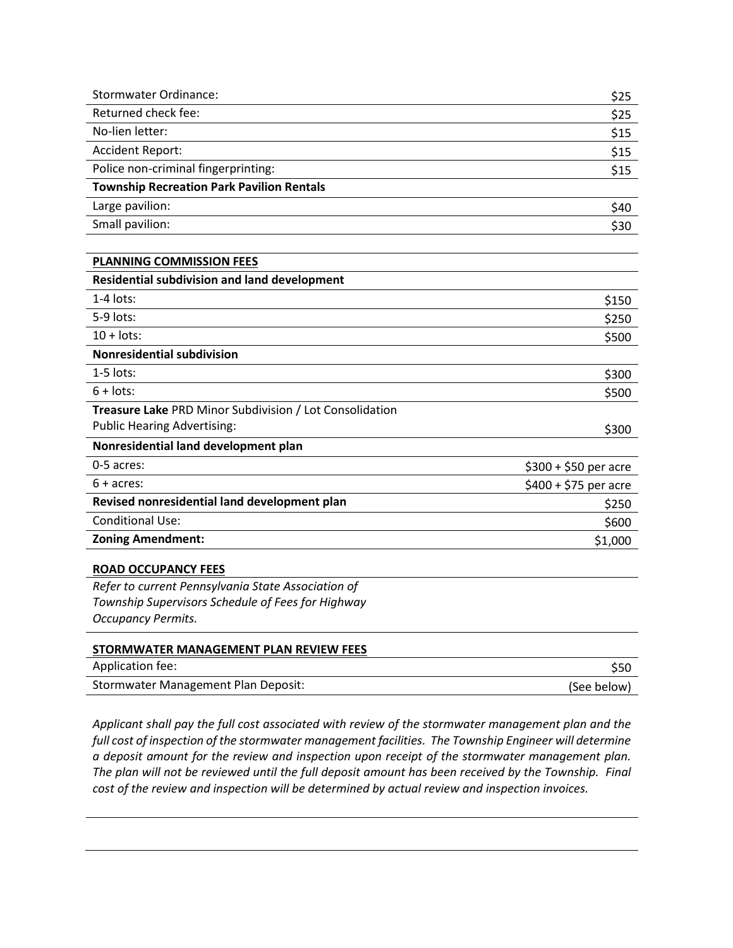| <b>Stormwater Ordinance:</b>                            | \$25                  |
|---------------------------------------------------------|-----------------------|
| Returned check fee:                                     | \$25                  |
| No-lien letter:                                         | \$15                  |
| <b>Accident Report:</b>                                 | \$15                  |
| Police non-criminal fingerprinting:                     | \$15                  |
| <b>Township Recreation Park Pavilion Rentals</b>        |                       |
| Large pavilion:                                         | \$40                  |
| Small pavilion:                                         | \$30                  |
|                                                         |                       |
| <b>PLANNING COMMISSION FEES</b>                         |                       |
| <b>Residential subdivision and land development</b>     |                       |
| $1-4$ lots:                                             | \$150                 |
| 5-9 lots:                                               | \$250                 |
| $10 +$ lots:                                            | \$500                 |
| <b>Nonresidential subdivision</b>                       |                       |
| $1-5$ lots:                                             | \$300                 |
| $6 +$ lots:                                             | \$500                 |
| Treasure Lake PRD Minor Subdivision / Lot Consolidation |                       |
| <b>Public Hearing Advertising:</b>                      | \$300                 |
| Nonresidential land development plan                    |                       |
| 0-5 acres:                                              | $$300 + $50$ per acre |
| $6 + \text{acres}$ :                                    | $$400 + $75$ per acre |
| Revised nonresidential land development plan            | \$250                 |
| <b>Conditional Use:</b>                                 | \$600                 |
| <b>Zoning Amendment:</b>                                | \$1,000               |
| <b>ROAD OCCUPANCY FEES</b>                              |                       |
| Refer to current Pennsylvania State Association of      |                       |
| Township Supervisors Schedule of Fees for Highway       |                       |
| <b>Occupancy Permits.</b>                               |                       |
| STORMWATER MANAGEMENT PLAN REVIEW FEES                  |                       |

| Application fee:                    |             |
|-------------------------------------|-------------|
| Stormwater Management Plan Deposit: | (See below) |

Applicant shall pay the full cost associated with review of the stormwater management plan and the full cost of inspection of the stormwater management facilities. The Township Engineer will determine a deposit amount for the review and inspection upon receipt of the stormwater management plan. The plan will not be reviewed until the full deposit amount has been received by the Township. Final cost of the review and inspection will be determined by actual review and inspection invoices.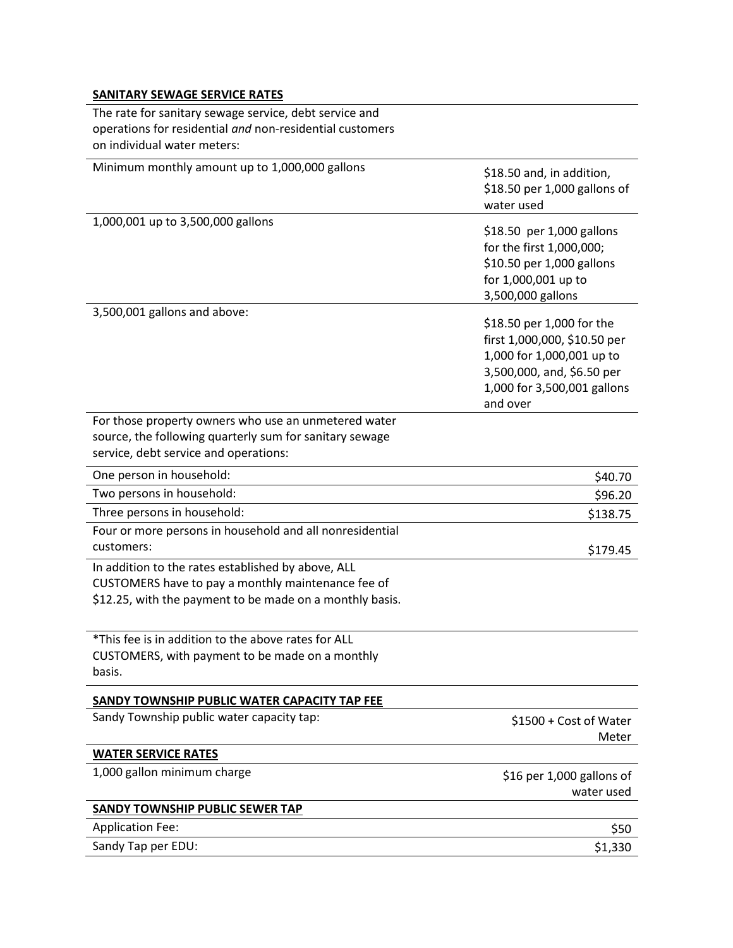# SANITARY SEWAGE SERVICE RATES

The rate for sanitary sewage service, debt service and operations for residential and non-residential customers on individual water meters:

| Minimum monthly amount up to 1,000,000 gallons                                                                                                                       | \$18.50 and, in addition,<br>\$18.50 per 1,000 gallons of<br>water used                                                                                         |
|----------------------------------------------------------------------------------------------------------------------------------------------------------------------|-----------------------------------------------------------------------------------------------------------------------------------------------------------------|
| 1,000,001 up to 3,500,000 gallons                                                                                                                                    | \$18.50 per 1,000 gallons<br>for the first 1,000,000;<br>\$10.50 per 1,000 gallons<br>for 1,000,001 up to<br>3,500,000 gallons                                  |
| 3,500,001 gallons and above:                                                                                                                                         | \$18.50 per 1,000 for the<br>first 1,000,000, \$10.50 per<br>1,000 for 1,000,001 up to<br>3,500,000, and, \$6.50 per<br>1,000 for 3,500,001 gallons<br>and over |
| For those property owners who use an unmetered water<br>source, the following quarterly sum for sanitary sewage<br>service, debt service and operations:             |                                                                                                                                                                 |
| One person in household:                                                                                                                                             | \$40.70                                                                                                                                                         |
| Two persons in household:                                                                                                                                            | \$96.20                                                                                                                                                         |
| Three persons in household:                                                                                                                                          | \$138.75                                                                                                                                                        |
| Four or more persons in household and all nonresidential<br>customers:                                                                                               | \$179.45                                                                                                                                                        |
| In addition to the rates established by above, ALL<br>CUSTOMERS have to pay a monthly maintenance fee of<br>\$12.25, with the payment to be made on a monthly basis. |                                                                                                                                                                 |
| *This fee is in addition to the above rates for ALL<br>CUSTOMERS, with payment to be made on a monthly<br>basis.                                                     |                                                                                                                                                                 |
| SANDY TOWNSHIP PUBLIC WATER CAPACITY TAP FEE                                                                                                                         |                                                                                                                                                                 |
| Sandy Township public water capacity tap:                                                                                                                            | \$1500 + Cost of Water<br>Meter                                                                                                                                 |
| <b>WATER SERVICE RATES</b>                                                                                                                                           |                                                                                                                                                                 |
| 1,000 gallon minimum charge                                                                                                                                          | \$16 per 1,000 gallons of<br>water used                                                                                                                         |
| <b>SANDY TOWNSHIP PUBLIC SEWER TAP</b>                                                                                                                               |                                                                                                                                                                 |
| <b>Application Fee:</b>                                                                                                                                              | \$50                                                                                                                                                            |
| Sandy Tap per EDU:                                                                                                                                                   | \$1,330                                                                                                                                                         |
|                                                                                                                                                                      |                                                                                                                                                                 |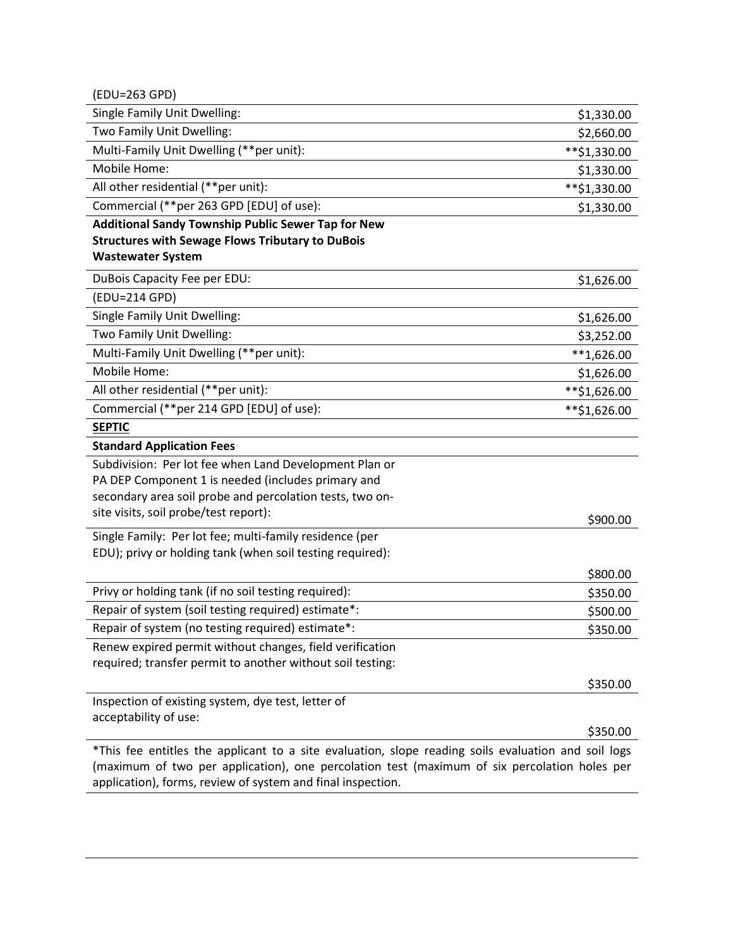(EDU=263 GPD)

| Single Family Unit Dwelling:                                                                        | \$1,330.00   |
|-----------------------------------------------------------------------------------------------------|--------------|
| Two Family Unit Dwelling:                                                                           | \$2,660.00   |
| Multi-Family Unit Dwelling (**per unit):                                                            | **\$1,330.00 |
| Mobile Home:                                                                                        | \$1,330.00   |
| All other residential (**per unit):                                                                 | **\$1,330.00 |
| Commercial (**per 263 GPD [EDU] of use):                                                            | \$1,330.00   |
| <b>Additional Sandy Township Public Sewer Tap for New</b>                                           |              |
| <b>Structures with Sewage Flows Tributary to DuBois</b>                                             |              |
| <b>Wastewater System</b>                                                                            |              |
| DuBois Capacity Fee per EDU:                                                                        | \$1,626.00   |
| (EDU=214 GPD)                                                                                       |              |
| Single Family Unit Dwelling:                                                                        | \$1,626.00   |
| Two Family Unit Dwelling:                                                                           | \$3,252.00   |
| Multi-Family Unit Dwelling (**per unit):                                                            | $**1,626.00$ |
| Mobile Home:                                                                                        | \$1,626.00   |
| All other residential (**per unit):                                                                 | **\$1,626.00 |
| Commercial (**per 214 GPD [EDU] of use):                                                            | **\$1,626.00 |
| <b>SEPTIC</b>                                                                                       |              |
| <b>Standard Application Fees</b>                                                                    |              |
| Subdivision: Per lot fee when Land Development Plan or                                              |              |
| PA DEP Component 1 is needed (includes primary and                                                  |              |
| secondary area soil probe and percolation tests, two on-                                            |              |
| site visits, soil probe/test report):                                                               | \$900.00     |
| Single Family: Per lot fee; multi-family residence (per                                             |              |
| EDU); privy or holding tank (when soil testing required):                                           |              |
|                                                                                                     | \$800.00     |
| Privy or holding tank (if no soil testing required):                                                | \$350.00     |
| Repair of system (soil testing required) estimate*:                                                 | \$500.00     |
| Repair of system (no testing required) estimate*:                                                   | \$350.00     |
| Renew expired permit without changes, field verification                                            |              |
| required; transfer permit to another without soil testing:                                          |              |
|                                                                                                     | \$350.00     |
| Inspection of existing system, dye test, letter of                                                  |              |
| acceptability of use:                                                                               |              |
|                                                                                                     | \$350.00     |
| *This fee entitles the applicant to a site evaluation, slope reading soils evaluation and soil logs |              |
| (maximum of two per application), one percolation test (maximum of six percolation holes per        |              |

application), forms, review of system and final inspection.